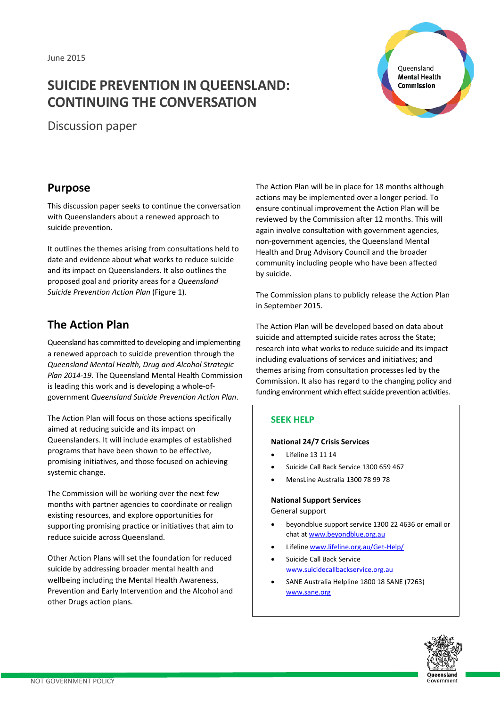# **SUICIDE PREVENTION IN QUEENSLAND: CONTINUING THE CONVERSATION**

Discussion paper

Queensland **Mental Health Commission** 

## **Purpose**

This discussion paper seeks to continue the conversation with Queenslanders about a renewed approach to suicide prevention.

It outlines the themes arising from consultations held to date and evidence about what works to reduce suicide and its impact on Queenslanders. It also outlines the proposed goal and priority areas for a *Queensland Suicide Prevention Action Plan* (Figure 1).

## **The Action Plan**

Queensland has committed to developing and implementing a renewed approach to suicide prevention through the *Queensland Mental Health, Drug and Alcohol Strategic Plan 2014-19*. The Queensland Mental Health Commission is leading this work and is developing a whole-ofgovernment *Queensland Suicide Prevention Action Plan*.

The Action Plan will focus on those actions specifically aimed at reducing suicide and its impact on Queenslanders. It will include examples of established programs that have been shown to be effective, promising initiatives, and those focused on achieving systemic change.

The Commission will be working over the next few months with partner agencies to coordinate or realign existing resources, and explore opportunities for supporting promising practice or initiatives that aim to reduce suicide across Queensland.

Other Action Plans will set the foundation for reduced suicide by addressing broader mental health and wellbeing including the Mental Health Awareness, Prevention and Early Intervention and the Alcohol and other Drugs action plans.

The Action Plan will be in place for 18 months although actions may be implemented over a longer period. To ensure continual improvement the Action Plan will be reviewed by the Commission after 12 months. This will again involve consultation with government agencies, non-government agencies, the Queensland Mental Health and Drug Advisory Council and the broader community including people who have been affected by suicide.

The Commission plans to publicly release the Action Plan in September 2015.

The Action Plan will be developed based on data about suicide and attempted suicide rates across the State; research into what works to reduce suicide and its impact including evaluations of services and initiatives; and themes arising from consultation processes led by the Commission. It also has regard to the changing policy and funding environment which effect suicide prevention activities.

### **SEEK HELP**

#### **National 24/7 Crisis Services**

- Lifeline 13 11 14
- Suicide Call Back Service 1300 659 467
- MensLine Australia 1300 78 99 78

#### **National Support Services**

General support

- beyondblue support service 1300 22 4636 or email or chat a[t www.beyondblue.org.au](http://www.beyondblue.org.au/)
- Lifeline www.lifeline.org.au/Get-Help/
- Suicide Call Back Service [www.suicidecallbackservice.org.au](http://www.suicidecallbackservice.org.au/)
- SANE Australia Helpline 1800 18 SANE (7263) [www.sane.org](http://www.sane.org/)

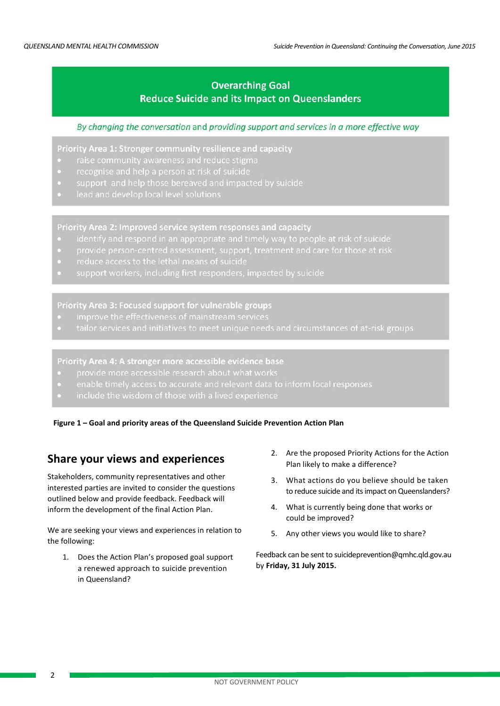## **Overarching Goal Reduce Suicide and its Impact on Queenslanders**

#### By changing the conversation and providing support and services in a more effective way

Priority Area 1: Stronger community resilience and capacity

- 
- recognise and help a person at risk of suicide
- support and help those bereaved and impacted by suicide
- 

Priority Area 2: Improved service system responses and capacity

- identify and respond in an appropriate and timely way to people at risk of suicide
- provide person-centred assessment, support, treatment and care for those at risk
- 
- 

#### Priority Area 3: Focused support for vulnerable groups

- 
- tailor services and initiatives to meet unique needs and circumstances of at-risk groups

Priority Area 4: A stronger more accessible evidence base

- provide more accessible research about what works
- enable timely access to accurate and relevant data to inform local responses
- include the wisdom of those with a lived experience

**Figure 1 – Goal and priority areas of the Queensland Suicide Prevention Action Plan**

## **Share your views and experiences**

Stakeholders, community representatives and other interested parties are invited to consider the questions outlined below and provide feedback. Feedback will inform the development of the final Action Plan.

We are seeking your views and experiences in relation to the following:

1. Does the Action Plan's proposed goal support a renewed approach to suicide prevention in Queensland?

- 2. Are the proposed Priority Actions for the Action Plan likely to make a difference?
- 3. What actions do you believe should be taken to reduce suicide and its impact on Queenslanders?
- 4. What is currently being done that works or could be improved?
- 5. Any other views you would like to share?

Feedback can be sent t[o suicideprevention@qmhc.qld.gov.au](mailto:suicideprevention@qmhc.qld.gov.au) by **Friday, 31 July 2015.**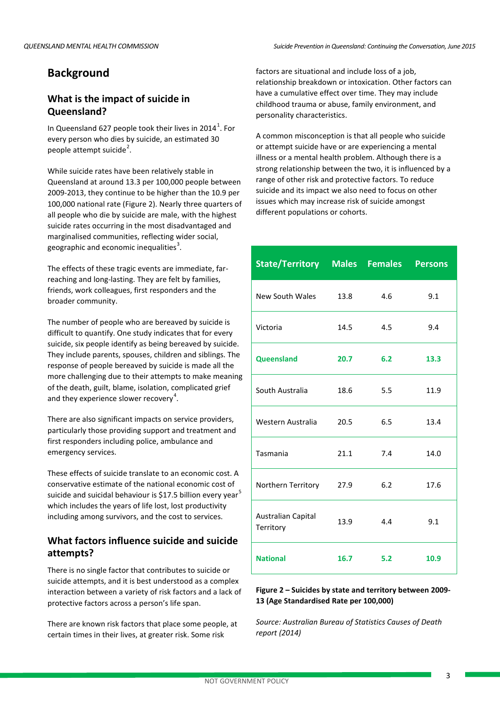## **Background**

## **What is the impact of suicide in Queensland?**

In Queensland 627 people took their lives in 20[1](#page-14-0)4<sup>1</sup>. For every person who dies by suicide, an estimated 30 people attempt suicide<sup>[2](#page-14-1)</sup>.

While suicide rates have been relatively stable in Queensland at around 13.3 per 100,000 people between 2009-2013, they continue to be higher than the 10.9 per 100,000 national rate (Figure 2). Nearly three quarters of all people who die by suicide are male, with the highest suicide rates occurring in the most disadvantaged and marginalised communities, reflecting wider social, geographic and economic inequalities<sup>[3](#page-14-2)</sup>.

The effects of these tragic events are immediate, farreaching and long-lasting. They are felt by families, friends, work colleagues, first responders and the broader community.

The number of people who are bereaved by suicide is difficult to quantify. One study indicates that for every suicide, six people identify as being bereaved by suicide. They include parents, spouses, children and siblings. The response of people bereaved by suicide is made all the more challenging due to their attempts to make meaning of the death, guilt, blame, isolation, complicated grief and they experience slower recovery<sup>[4](#page-14-3)</sup>.

There are also significant impacts on service providers, particularly those providing support and treatment and first responders including police, ambulance and emergency services.

These effects of suicide translate to an economic cost. A conservative estimate of the national economic cost of suicide and suicidal behaviour is \$17.[5](#page-14-4) billion every year<sup>5</sup> which includes the years of life lost, lost productivity including among survivors, and the cost to services.

## **What factors influence suicide and suicide attempts?**

There is no single factor that contributes to suicide or suicide attempts, and it is best understood as a complex interaction between a variety of risk factors and a lack of protective factors across a person's life span.

There are known risk factors that place some people, at certain times in their lives, at greater risk. Some risk

factors are situational and include loss of a job, relationship breakdown or intoxication. Other factors can have a cumulative effect over time. They may include childhood trauma or abuse, family environment, and personality characteristics.

A common misconception is that all people who suicide or attempt suicide have or are experiencing a mental illness or a mental health problem. Although there is a strong relationship between the two, it is influenced by a range of other risk and protective factors. To reduce suicide and its impact we also need to focus on other issues which may increase risk of suicide amongst different populations or cohorts.

| <b>State/Territory Males Females</b> |      |     | <b>Persons</b> |
|--------------------------------------|------|-----|----------------|
| New South Wales                      | 13.8 | 4.6 | 9.1            |
| Victoria                             | 14.5 | 4.5 | 9.4            |
| <b>Queensland</b>                    | 20.7 | 6.2 | 13.3           |
| South Australia                      | 18.6 | 5.5 | 11.9           |
| Western Australia                    | 20.5 | 6.5 | 13.4           |
| Tasmania                             | 21.1 | 7.4 | 14.0           |
| Northern Territory                   | 27.9 | 6.2 | 17.6           |
| Australian Capital<br>Territory      | 13.9 | 4.4 | 9.1            |
| <b>National</b>                      | 16.7 | 5.2 | 10.9           |

#### **Figure 2 – Suicides by state and territory between 2009- 13 (Age Standardised Rate per 100,000)**

*Source: Australian Bureau of Statistics Causes of Death report (2014)*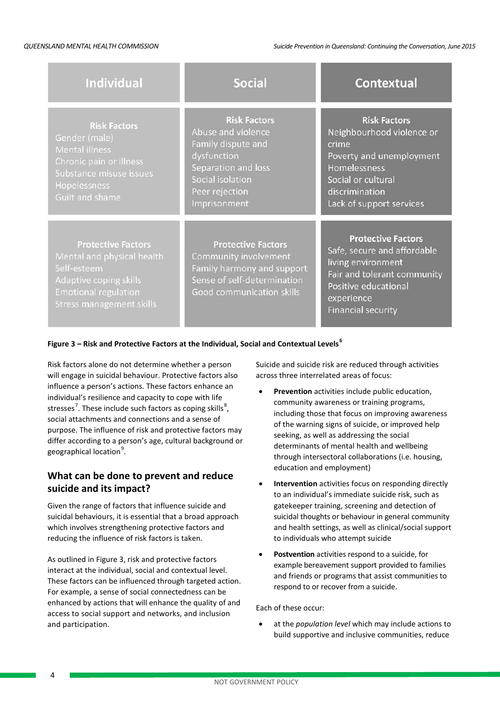| <b>Individual</b>                                                                                                                                                  | <b>Social</b>                                                                                                                                               | <b>Contextual</b>                                                                                                                                                                |
|--------------------------------------------------------------------------------------------------------------------------------------------------------------------|-------------------------------------------------------------------------------------------------------------------------------------------------------------|----------------------------------------------------------------------------------------------------------------------------------------------------------------------------------|
| <b>Risk Factors</b><br>Gender (male)<br><b>Mental illness</b><br>Chronic pain or illness<br>Substance misuse issues<br>Hopelessness<br>Guilt and shame             | <b>Risk Factors</b><br>Abuse and violence<br>Family dispute and<br>dysfunction<br>Separation and loss<br>Social isolation<br>Peer rejection<br>Imprisonment | <b>Risk Factors</b><br>Neighbourhood violence or<br>crime<br>Poverty and unemployment<br>Homelessness<br>Social or cultural<br>discrimination<br>Lack of support services        |
| <b>Protective Factors</b><br>Mental and physical health<br>Self-esteem<br>Adaptive coping skills<br><b>Emotional regulation</b><br><b>Stress management skills</b> | <b>Protective Factors</b><br>Community involvement<br>Family harmony and support<br>Sense of self-determination<br>Good communication skills                | <b>Protective Factors</b><br>Safe, secure and affordable<br>living environment<br>Fair and tolerant community<br>Positive educational<br>experience<br><b>Financial security</b> |

#### **Figure 3 – Risk and Protective Factors at the Individual, Social and Contextual Levels[6](#page-14-5)**

Risk factors alone do not determine whether a person will engage in suicidal behaviour. Protective factors also influence a person's actions. These factors enhance an individual's resilience and capacity to cope with life stresses<sup>[7](#page-14-6)</sup>. These include such factors as coping skills<sup>[8](#page-14-7)</sup>, social attachments and connections and a sense of purpose. The influence of risk and protective factors may differ according to a person's age, cultural background or geographical location<sup>[9](#page-14-8)</sup>.

### **What can be done to prevent and reduce suicide and its impact?**

Given the range of factors that influence suicide and suicidal behaviours, it is essential that a broad approach which involves strengthening protective factors and reducing the influence of risk factors is taken.

As outlined in Figure 3, risk and protective factors interact at the individual, social and contextual level. These factors can be influenced through targeted action. For example, a sense of social connectedness can be enhanced by actions that will enhance the quality of and access to social support and networks, and inclusion and participation.

Suicide and suicide risk are reduced through activities across three interrelated areas of focus:

- **Prevention** activities include public education, community awareness or training programs, including those that focus on improving awareness of the warning signs of suicide, or improved help seeking, as well as addressing the social determinants of mental health and wellbeing through intersectoral collaborations (i.e. housing, education and employment)
- **Intervention** activities focus on responding directly to an individual's immediate suicide risk, such as gatekeeper training, screening and detection of suicidal thoughts or behaviour in general community and health settings, as well as clinical/social support to individuals who attempt suicide
- **Postvention** activities respond to a suicide, for example bereavement support provided to families and friends or programs that assist communities to respond to or recover from a suicide.

Each of these occur:

• at the *population level* which may include actions to build supportive and inclusive communities, reduce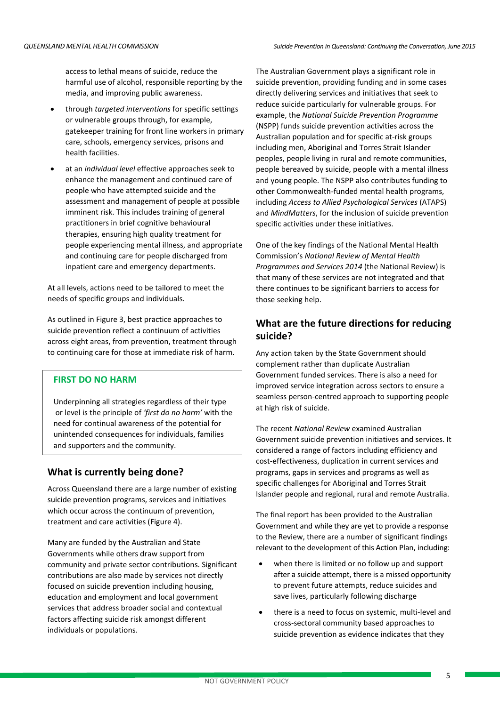access to lethal means of suicide, reduce the harmful use of alcohol, responsible reporting by the media, and improving public awareness.

- through *targeted interventions* for specific settings or vulnerable groups through, for example, gatekeeper training for front line workers in primary care, schools, emergency services, prisons and health facilities.
- at an *individual level* effective approaches seek to enhance the management and continued care of people who have attempted suicide and the assessment and management of people at possible imminent risk. This includes training of general practitioners in brief cognitive behavioural therapies, ensuring high quality treatment for people experiencing mental illness, and appropriate and continuing care for people discharged from inpatient care and emergency departments.

At all levels, actions need to be tailored to meet the needs of specific groups and individuals.

As outlined in Figure 3, best practice approaches to suicide prevention reflect a continuum of activities across eight areas, from prevention, treatment through to continuing care for those at immediate risk of harm.

#### **FIRST DO NO HARM**

Underpinning all strategies regardless of their type or level is the principle of *'first do no harm'* with the need for continual awareness of the potential for unintended consequences for individuals, families and supporters and the community.

#### **What is currently being done?**

Across Queensland there are a large number of existing suicide prevention programs, services and initiatives which occur across the continuum of prevention. treatment and care activities (Figure 4).

Many are funded by the Australian and State Governments while others draw support from community and private sector contributions. Significant contributions are also made by services not directly focused on suicide prevention including housing, education and employment and local government services that address broader social and contextual factors affecting suicide risk amongst different individuals or populations.

The Australian Government plays a significant role in suicide prevention, providing funding and in some cases directly delivering services and initiatives that seek to reduce suicide particularly for vulnerable groups. For example, the *National Suicide Prevention Programme*  (NSPP) funds suicide prevention activities across the Australian population and for specific at-risk groups including men, Aboriginal and Torres Strait Islander peoples, people living in rural and remote communities, people bereaved by suicide, people with a mental illness and young people. The NSPP also contributes funding to other Commonwealth-funded mental health programs, including *Access to Allied Psychological Services* (ATAPS) and *MindMatters*, for the inclusion of suicide prevention specific activities under these initiatives.

One of the key findings of the National Mental Health Commission's *National Review of Mental Health Programmes and Services 2014* (the National Review) is that many of these services are not integrated and that there continues to be significant barriers to access for those seeking help.

#### **What are the future directions for reducing suicide?**

Any action taken by the State Government should complement rather than duplicate Australian Government funded services. There is also a need for improved service integration across sectors to ensure a seamless person-centred approach to supporting people at high risk of suicide.

The recent *National Review* examined Australian Government suicide prevention initiatives and services. It considered a range of factors including efficiency and cost-effectiveness, duplication in current services and programs, gaps in services and programs as well as specific challenges for Aboriginal and Torres Strait Islander people and regional, rural and remote Australia.

The final report has been provided to the Australian Government and while they are yet to provide a response to the Review, there are a number of significant findings relevant to the development of this Action Plan, including:

- when there is limited or no follow up and support after a suicide attempt, there is a missed opportunity to prevent future attempts, reduce suicides and save lives, particularly following discharge
- there is a need to focus on systemic, multi-level and cross-sectoral community based approaches to suicide prevention as evidence indicates that they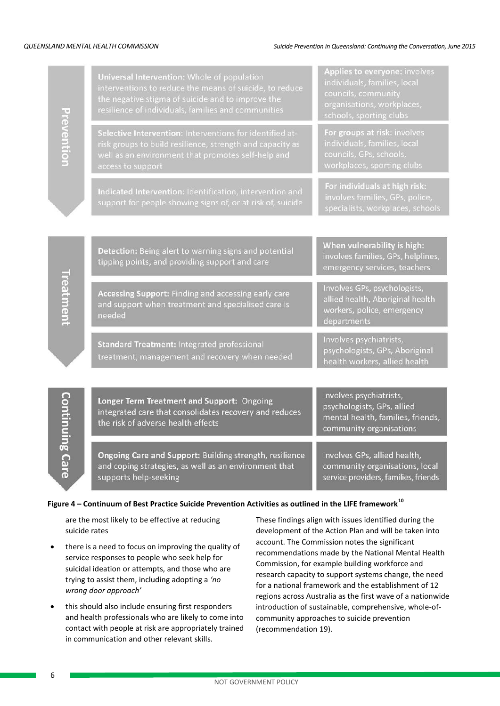|                 | Universal Intervention: Whole of population<br>interventions to reduce the means of suicide, to reduce<br>the negative stigma of suicide and to improve the<br>resilience of individuals, families and communities | Applies to everyone: involves<br>individuals, families, local<br>councils, community<br>organisations, workplaces,<br>schools, sporting clubs |
|-----------------|--------------------------------------------------------------------------------------------------------------------------------------------------------------------------------------------------------------------|-----------------------------------------------------------------------------------------------------------------------------------------------|
|                 | Selective Intervention: Interventions for identified at-<br>risk groups to build resilience, strength and capacity as<br>well as an environment that promotes self-help and<br>access to support                   | For groups at risk: involves<br>individuals, families, local<br>councils, GPs, schools,<br>workplaces, sporting clubs                         |
|                 | Indicated Intervention: Identification, intervention and<br>support for people showing signs of, or at risk of, suicide                                                                                            | For individuals at high risk:<br>involves families, GPs, police,<br>specialists, workplaces, schools                                          |
|                 |                                                                                                                                                                                                                    |                                                                                                                                               |
|                 | Detection: Being alert to warning signs and potential<br>tipping points, and providing support and care                                                                                                            | When vulnerability is high:<br>involves families, GPs, helplines,<br>emergency services, teachers                                             |
|                 | Accessing Support: Finding and accessing early care<br>and support when treatment and specialised care is<br>needed                                                                                                | Involves GPs, psychologists,<br>allied health, Aboriginal health<br>workers, police, emergency<br>departments                                 |
|                 | Standard Treatment: Integrated professional<br>treatment, management and recovery when needed                                                                                                                      | Involves psychiatrists,<br>psychologists, GPs, Aboriginal<br>health workers, allied health                                                    |
|                 |                                                                                                                                                                                                                    |                                                                                                                                               |
| Continuine Care | Longer Term Treatment and Support: Ongoing<br>integrated care that consolidates recovery and reduces<br>the risk of adverse health effects                                                                         | Involves psychiatrists,<br>psychologists, GPs, allied<br>mental health, families, friends,<br>community organisations                         |
|                 | Ongoing Care and Support: Building strength, resilience<br>and coping strategies, as well as an environment that<br>supports help-seeking                                                                          | Involves GPs, allied health,<br>community organisations, local<br>service providers, families, friends                                        |

#### **Figure 4 – Continuum of Best Practice Suicide Prevention Activities as outlined in the LIFE framework[10](#page-14-9)**

are the most likely to be effective at reducing suicide rates

- there is a need to focus on improving the quality of service responses to people who seek help for suicidal ideation or attempts, and those who are trying to assist them, including adopting a *'no wrong door approach'*
- this should also include ensuring first responders and health professionals who are likely to come into contact with people at risk are appropriately trained in communication and other relevant skills.

These findings align with issues identified during the development of the Action Plan and will be taken into account. The Commission notes the significant recommendations made by the National Mental Health Commission, for example building workforce and research capacity to support systems change, the need for a national framework and the establishment of 12 regions across Australia as the first wave of a nationwide introduction of sustainable, comprehensive, whole-ofcommunity approaches to suicide prevention (recommendation 19).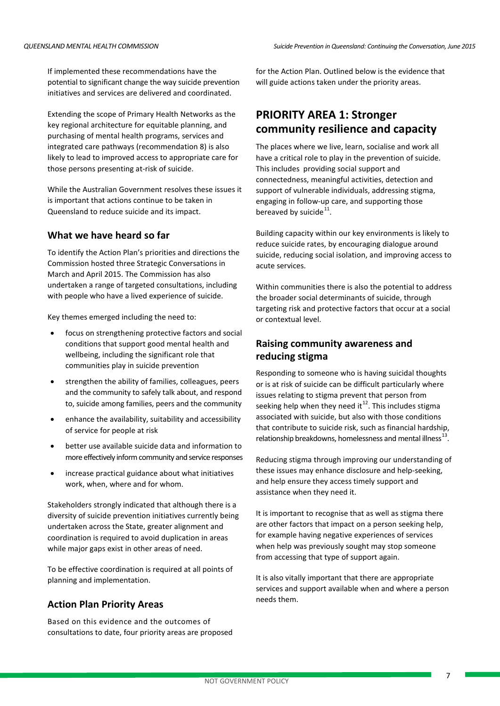If implemented these recommendations have the potential to significant change the way suicide prevention initiatives and services are delivered and coordinated.

Extending the scope of Primary Health Networks as the key regional architecture for equitable planning, and purchasing of mental health programs, services and integrated care pathways (recommendation 8) is also likely to lead to improved access to appropriate care for those persons presenting at-risk of suicide.

While the Australian Government resolves these issues it is important that actions continue to be taken in Queensland to reduce suicide and its impact.

## **What we have heard so far**

To identify the Action Plan's priorities and directions the Commission hosted three Strategic Conversations in March and April 2015. The Commission has also undertaken a range of targeted consultations, including with people who have a lived experience of suicide.

Key themes emerged including the need to:

- focus on strengthening protective factors and social conditions that support good mental health and wellbeing, including the significant role that communities play in suicide prevention
- strengthen the ability of families, colleagues, peers and the community to safely talk about, and respond to, suicide among families, peers and the community
- enhance the availability, suitability and accessibility of service for people at risk
- better use available suicide data and information to more effectively inform community and service responses
- increase practical guidance about what initiatives work, when, where and for whom.

Stakeholders strongly indicated that although there is a diversity of suicide prevention initiatives currently being undertaken across the State, greater alignment and coordination is required to avoid duplication in areas while major gaps exist in other areas of need.

To be effective coordination is required at all points of planning and implementation.

### **Action Plan Priority Areas**

Based on this evidence and the outcomes of consultations to date, four priority areas are proposed for the Action Plan. Outlined below is the evidence that will guide actions taken under the priority areas.

## **PRIORITY AREA 1: Stronger community resilience and capacity**

The places where we live, learn, socialise and work all have a critical role to play in the prevention of suicide. This includes providing social support and connectedness, meaningful activities, detection and support of vulnerable individuals, addressing stigma, engaging in follow-up care, and supporting those bereaved by suicide $^{11}$ .

Building capacity within our key environments is likely to reduce suicide rates, by encouraging dialogue around suicide, reducing social isolation, and improving access to acute services.

Within communities there is also the potential to address the broader social determinants of suicide, through targeting risk and protective factors that occur at a social or contextual level.

## **Raising community awareness and reducing stigma**

Responding to someone who is having suicidal thoughts or is at risk of suicide can be difficult particularly where issues relating to stigma prevent that person from seeking help when they need it<sup>[12](#page-14-11)</sup>. This includes stigma associated with suicide, but also with those conditions that contribute to suicide risk, such as financial hardship, relationship breakdowns, homelessness and mental illness<sup>13</sup>

Reducing stigma through improving our understanding of these issues may enhance disclosure and help-seeking, and help ensure they access timely support and assistance when they need it.

It is important to recognise that as well as stigma there are other factors that impact on a person seeking help, for example having negative experiences of services when help was previously sought may stop someone from accessing that type of support again.

It is also vitally important that there are appropriate services and support available when and where a person needs them.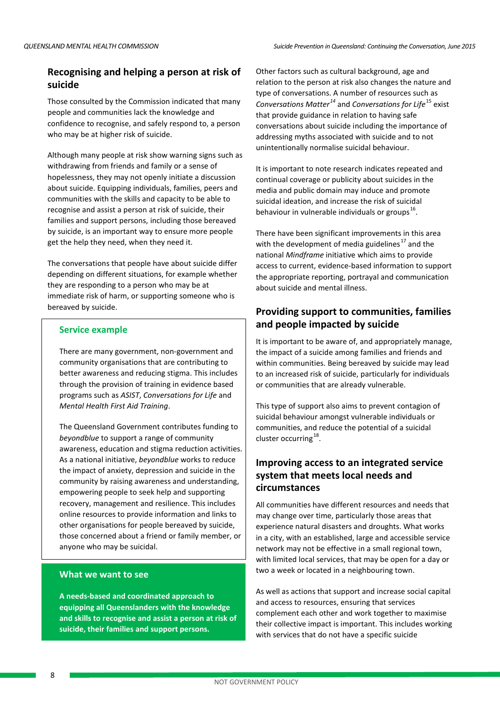## **Recognising and helping a person at risk of suicide**

Those consulted by the Commission indicated that many people and communities lack the knowledge and confidence to recognise, and safely respond to, a person who may be at higher risk of suicide.

Although many people at risk show warning signs such as withdrawing from friends and family or a sense of hopelessness, they may not openly initiate a discussion about suicide. Equipping individuals, families, peers and communities with the skills and capacity to be able to recognise and assist a person at risk of suicide, their families and support persons, including those bereaved by suicide, is an important way to ensure more people get the help they need, when they need it.

The conversations that people have about suicide differ depending on different situations, for example whether they are responding to a person who may be at immediate risk of harm, or supporting someone who is bereaved by suicide.

#### **Service example**

There are many government, non-government and community organisations that are contributing to better awareness and reducing stigma. This includes through the provision of training in evidence based programs such as *ASIST*, *Conversations for Life* and *Mental Health First Aid Training*.

The Queensland Government contributes funding to *beyondblue* to support a range of community awareness, education and stigma reduction activities. As a national initiative, *beyondblue* works to reduce the impact of anxiety, depression and suicide in the community by raising awareness and understanding, empowering people to seek help and supporting recovery, management and resilience. This includes online resources to provide information and links to other organisations for people bereaved by suicide, those concerned about a friend or family member, or anyone who may be suicidal.

#### **What we want to see**

**A needs-based and coordinated approach to equipping all Queenslanders with the knowledge and skills to recognise and assist a person at risk of suicide, their families and support persons.**

Other factors such as cultural background, age and relation to the person at risk also changes the nature and type of conversations. A number of resources such as *Conversations Matter[14](#page-14-13)* and *Conversations for Life*[15](#page-14-14) exist that provide guidance in relation to having safe conversations about suicide including the importance of addressing myths associated with suicide and to not unintentionally normalise suicidal behaviour.

It is important to note research indicates repeated and continual coverage or publicity about suicides in the media and public domain may induce and promote suicidal ideation, and increase the risk of suicidal behaviour in vulnerable individuals or groups $^{16}$  $^{16}$  $^{16}$ .

There have been significant improvements in this area with the development of media guidelines<sup>[17](#page-14-16)</sup> and the national *Mindframe* initiative which aims to provide access to current, evidence-based information to support the appropriate reporting, portrayal and communication about suicide and mental illness.

## **Providing support to communities, families and people impacted by suicide**

It is important to be aware of, and appropriately manage, the impact of a suicide among families and friends and within communities. Being bereaved by suicide may lead to an increased risk of suicide, particularly for individuals or communities that are already vulnerable.

This type of support also aims to prevent contagion of suicidal behaviour amongst vulnerable individuals or communities, and reduce the potential of a suicidal cluster occurring<sup>18</sup>.

## **Improving access to an integrated service system that meets local needs and circumstances**

All communities have different resources and needs that may change over time, particularly those areas that experience natural disasters and droughts. What works in a city, with an established, large and accessible service network may not be effective in a small regional town, with limited local services, that may be open for a day or two a week or located in a neighbouring town.

As well as actions that support and increase social capital and access to resources, ensuring that services complement each other and work together to maximise their collective impact is important. This includes working with services that do not have a specific suicide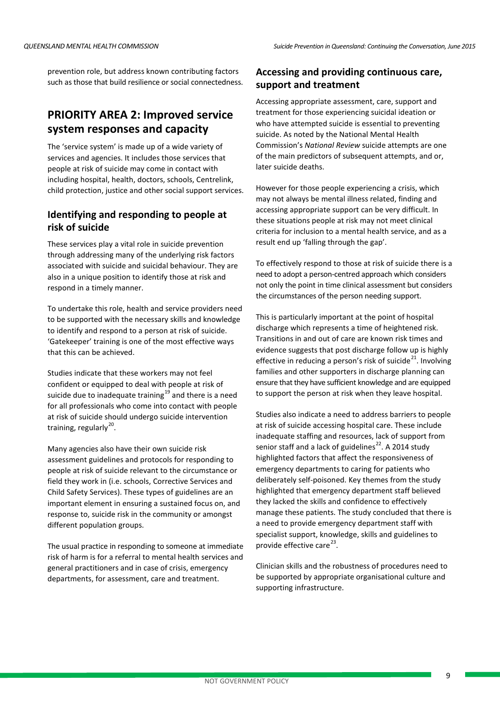prevention role, but address known contributing factors such as those that build resilience or social connectedness.

## **PRIORITY AREA 2: Improved service system responses and capacity**

The 'service system' is made up of a wide variety of services and agencies. It includes those services that people at risk of suicide may come in contact with including hospital, health, doctors, schools, Centrelink, child protection, justice and other social support services.

### **Identifying and responding to people at risk of suicide**

These services play a vital role in suicide prevention through addressing many of the underlying risk factors associated with suicide and suicidal behaviour. They are also in a unique position to identify those at risk and respond in a timely manner.

To undertake this role, health and service providers need to be supported with the necessary skills and knowledge to identify and respond to a person at risk of suicide. 'Gatekeeper' training is one of the most effective ways that this can be achieved.

Studies indicate that these workers may not feel confident or equipped to deal with people at risk of suicide due to inadequate training $^{19}$  $^{19}$  $^{19}$  and there is a need for all professionals who come into contact with people at risk of suicide should undergo suicide intervention training, regularly<sup>20</sup>.

Many agencies also have their own suicide risk assessment guidelines and protocols for responding to people at risk of suicide relevant to the circumstance or field they work in (i.e. schools, Corrective Services and Child Safety Services). These types of guidelines are an important element in ensuring a sustained focus on, and response to, suicide risk in the community or amongst different population groups.

The usual practice in responding to someone at immediate risk of harm is for a referral to mental health services and general practitioners and in case of crisis, emergency departments, for assessment, care and treatment.

#### **Accessing and providing continuous care, support and treatment**

Accessing appropriate assessment, care, support and treatment for those experiencing suicidal ideation or who have attempted suicide is essential to preventing suicide. As noted by the National Mental Health Commission's *National Review* suicide attempts are one of the main predictors of subsequent attempts, and or, later suicide deaths.

However for those people experiencing a crisis, which may not always be mental illness related, finding and accessing appropriate support can be very difficult. In these situations people at risk may not meet clinical criteria for inclusion to a mental health service, and as a result end up 'falling through the gap'.

To effectively respond to those at risk of suicide there is a need to adopt a person-centred approach which considers not only the point in time clinical assessment but considers the circumstances of the person needing support.

This is particularly important at the point of hospital discharge which represents a time of heightened risk. Transitions in and out of care are known risk times and evidence suggests that post discharge follow up is highly effective in reducing a person's risk of suicide<sup>[21](#page-14-19)</sup>. Involving families and other supporters in discharge planning can ensure that they have sufficient knowledge and are equipped to support the person at risk when they leave hospital.

Studies also indicate a need to address barriers to people at risk of suicide accessing hospital care. These include inadequate staffing and resources, lack of support from senior staff and a lack of guidelines<sup>[22](#page-14-20)</sup>. A 2014 study highlighted factors that affect the responsiveness of emergency departments to caring for patients who deliberately self-poisoned. Key themes from the study highlighted that emergency department staff believed they lacked the skills and confidence to effectively manage these patients. The study concluded that there is a need to provide emergency department staff with specialist support, knowledge, skills and guidelines to provide effective care<sup>[23](#page-14-21)</sup>.

Clinician skills and the robustness of procedures need to be supported by appropriate organisational culture and supporting infrastructure.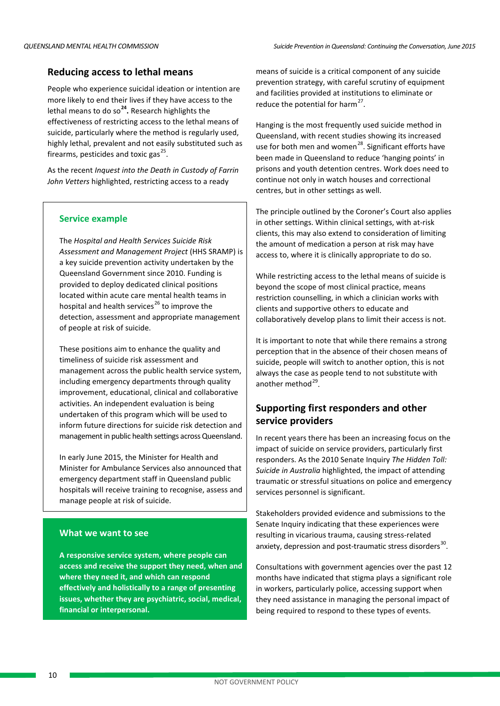#### **Reducing access to lethal means**

People who experience suicidal ideation or intention are more likely to end their lives if they have access to the lethal means to do so**[24.](#page-14-22)** Research highlights the effectiveness of restricting access to the lethal means of suicide, particularly where the method is regularly used, highly lethal, prevalent and not easily substituted such as firearms, pesticides and toxic gas $^{25}$ .

As the recent *Inquest into the Death in Custody of Farrin John Vetters* highlighted, restricting access to a ready

#### **Service example**

The *Hospital and Health Services Suicide Risk Assessment and Management Project* (HHS SRAMP) is a key suicide prevention activity undertaken by the Queensland Government since 2010. Funding is provided to deploy dedicated clinical positions located within acute care mental health teams in hospital and health services<sup>[26](#page-14-24)</sup> to improve the detection, assessment and appropriate management of people at risk of suicide.

These positions aim to enhance the quality and timeliness of suicide risk assessment and management across the public health service system, including emergency departments through quality improvement, educational, clinical and collaborative activities. An independent evaluation is being undertaken of this program which will be used to inform future directions for suicide risk detection and management in public health settings across Queensland.

In early June 2015, the Minister for Health and Minister for Ambulance Services also announced that emergency department staff in Queensland public hospitals will receive training to recognise, assess and manage people at risk of suicide.

#### **What we want to see**

**A responsive service system, where people can access and receive the support they need, when and where they need it, and which can respond effectively and holistically to a range of presenting issues, whether they are psychiatric, social, medical, financial or interpersonal.**

means of suicide is a critical component of any suicide prevention strategy, with careful scrutiny of equipment and facilities provided at institutions to eliminate or reduce the potential for harm<sup>27</sup>.

Hanging is the most frequently used suicide method in Queensland, with recent studies showing its increased use for both men and women<sup>[28](#page-14-26)</sup>. Significant efforts have been made in Queensland to reduce 'hanging points' in prisons and youth detention centres. Work does need to continue not only in watch houses and correctional centres, but in other settings as well.

The principle outlined by the Coroner's Court also applies in other settings. Within clinical settings, with at-risk clients, this may also extend to consideration of limiting the amount of medication a person at risk may have access to, where it is clinically appropriate to do so.

While restricting access to the lethal means of suicide is beyond the scope of most clinical practice, means restriction counselling, in which a clinician works with clients and supportive others to educate and collaboratively develop plans to limit their access is not.

It is important to note that while there remains a strong perception that in the absence of their chosen means of suicide, people will switch to another option, this is not always the case as people tend to not substitute with another method $^{29}$  $^{29}$  $^{29}$ .

### **Supporting first responders and other service providers**

In recent years there has been an increasing focus on the impact of suicide on service providers, particularly first responders. As the 2010 Senate Inquiry *The Hidden Toll: Suicide in Australia* highlighted, the impact of attending traumatic or stressful situations on police and emergency services personnel is significant.

Stakeholders provided evidence and submissions to the Senate Inquiry indicating that these experiences were resulting in vicarious trauma, causing stress-related anxiety, depression and post-traumatic stress disorders $^{30}$  $^{30}$  $^{30}$ .

Consultations with government agencies over the past 12 months have indicated that stigma plays a significant role in workers, particularly police, accessing support when they need assistance in managing the personal impact of being required to respond to these types of events.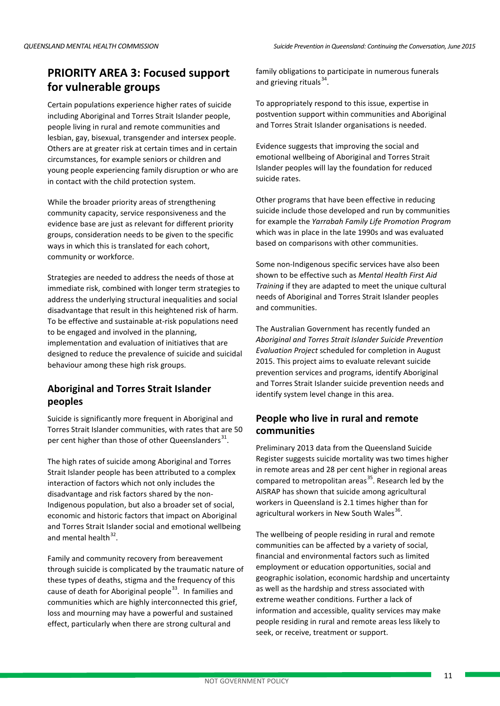## **PRIORITY AREA 3: Focused support for vulnerable groups**

Certain populations experience higher rates of suicide including Aboriginal and Torres Strait Islander people, people living in rural and remote communities and lesbian, gay, bisexual, transgender and intersex people. Others are at greater risk at certain times and in certain circumstances, for example seniors or children and young people experiencing family disruption or who are in contact with the child protection system.

While the broader priority areas of strengthening community capacity, service responsiveness and the evidence base are just as relevant for different priority groups, consideration needs to be given to the specific ways in which this is translated for each cohort, community or workforce.

Strategies are needed to address the needs of those at immediate risk, combined with longer term strategies to address the underlying structural inequalities and social disadvantage that result in this heightened risk of harm. To be effective and sustainable at-risk populations need to be engaged and involved in the planning, implementation and evaluation of initiatives that are designed to reduce the prevalence of suicide and suicidal behaviour among these high risk groups.

## **Aboriginal and Torres Strait Islander peoples**

Suicide is significantly more frequent in Aboriginal and Torres Strait Islander communities, with rates that are 50 per cent higher than those of other Queenslanders<sup>[31](#page-14-29)</sup>.

The high rates of suicide among Aboriginal and Torres Strait Islander people has been attributed to a complex interaction of factors which not only includes the disadvantage and risk factors shared by the non-Indigenous population, but also a broader set of social, economic and historic factors that impact on Aboriginal and Torres Strait Islander social and emotional wellbeing and mental health $32$ .

Family and community recovery from bereavement through suicide is complicated by the traumatic nature of these types of deaths, stigma and the frequency of this cause of death for Aboriginal people<sup>[33](#page-14-31)</sup>. In families and communities which are highly interconnected this grief, loss and mourning may have a powerful and sustained effect, particularly when there are strong cultural and

family obligations to participate in numerous funerals and grieving rituals $^{34}$  $^{34}$  $^{34}$ .

To appropriately respond to this issue, expertise in postvention support within communities and Aboriginal and Torres Strait Islander organisations is needed.

Evidence suggests that improving the social and emotional wellbeing of Aboriginal and Torres Strait Islander peoples will lay the foundation for reduced suicide rates.

Other programs that have been effective in reducing suicide include those developed and run by communities for example the *Yarrabah Family Life Promotion Program* which was in place in the late 1990s and was evaluated based on comparisons with other communities.

Some non-Indigenous specific services have also been shown to be effective such as *Mental Health First Aid Training* if they are adapted to meet the unique cultural needs of Aboriginal and Torres Strait Islander peoples and communities.

The Australian Government has recently funded an *Aboriginal and Torres Strait Islander Suicide Prevention Evaluation Project* scheduled for completion in August 2015. This project aims to evaluate relevant suicide prevention services and programs, identify Aboriginal and Torres Strait Islander suicide prevention needs and identify system level change in this area.

## **People who live in rural and remote communities**

Preliminary 2013 data from the Queensland Suicide Register suggests suicide mortality was two times higher in remote areas and 28 per cent higher in regional areas compared to metropolitan areas<sup>[35](#page-14-0)</sup>. Research led by the AISRAP has shown that suicide among agricultural workers in Queensland is 2.1 times higher than for agricultural workers in New South Wales $^{36}$ .

The wellbeing of people residing in rural and remote communities can be affected by a variety of social, financial and environmental factors such as limited employment or education opportunities, social and geographic isolation, economic hardship and uncertainty as well as the hardship and stress associated with extreme weather conditions. Further a lack of information and accessible, quality services may make people residing in rural and remote areas less likely to seek, or receive, treatment or support.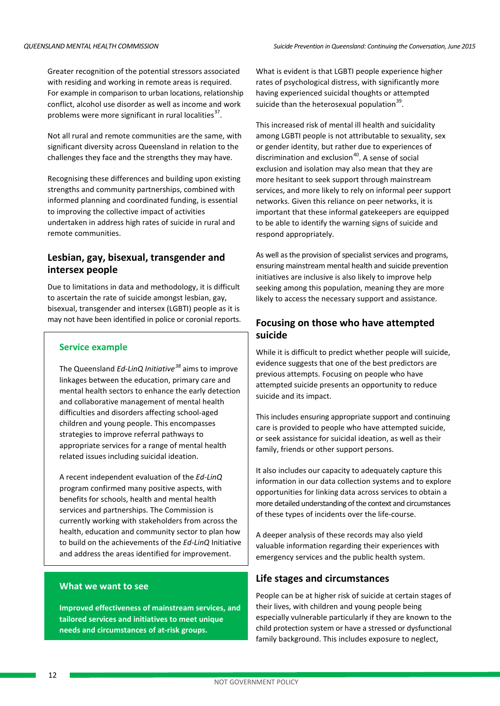Greater recognition of the potential stressors associated with residing and working in remote areas is required. For example in comparison to urban locations, relationship conflict, alcohol use disorder as well as income and work problems were more significant in rural localities $37$ .

Not all rural and remote communities are the same, with significant diversity across Queensland in relation to the challenges they face and the strengths they may have.

Recognising these differences and building upon existing strengths and community partnerships, combined with informed planning and coordinated funding, is essential to improving the collective impact of activities undertaken in address high rates of suicide in rural and remote communities.

## **Lesbian, gay, bisexual, transgender and intersex people**

Due to limitations in data and methodology, it is difficult to ascertain the rate of suicide amongst lesbian, gay, bisexual, transgender and intersex (LGBTI) people as it is may not have been identified in police or coronial reports.

#### **Service example**

The Queensland *Ed-LinQ Initiative[38](#page-14-34)* aims to improve linkages between the education, primary care and mental health sectors to enhance the early detection and collaborative management of mental health difficulties and disorders affecting school-aged children and young people. This encompasses strategies to improve referral pathways to appropriate services for a range of mental health related issues including suicidal ideation.

A recent independent evaluation of the *Ed-LinQ* program confirmed many positive aspects, with benefits for schools, health and mental health services and partnerships. The Commission is currently working with stakeholders from across the health, education and community sector to plan how to build on the achievements of the *Ed-LinQ* Initiative and address the areas identified for improvement.

#### **What we want to see**

**Improved effectiveness of mainstream services, and tailored services and initiatives to meet unique needs and circumstances of at-risk groups.**

What is evident is that LGBTI people experience higher rates of psychological distress, with significantly more having experienced suicidal thoughts or attempted suicide than the heterosexual population $39$ .

This increased risk of mental ill health and suicidality among LGBTI people is not attributable to sexuality, sex or gender identity, but rather due to experiences of discrimination and exclusion $40$ . A sense of social exclusion and isolation may also mean that they are more hesitant to seek support through mainstream services, and more likely to rely on informal peer support networks. Given this reliance on peer networks, it is important that these informal gatekeepers are equipped to be able to identify the warning signs of suicide and respond appropriately.

As well as the provision of specialist services and programs, ensuring mainstream mental health and suicide prevention initiatives are inclusive is also likely to improve help seeking among this population, meaning they are more likely to access the necessary support and assistance.

### **Focusing on those who have attempted suicide**

While it is difficult to predict whether people will suicide, evidence suggests that one of the best predictors are previous attempts. Focusing on people who have attempted suicide presents an opportunity to reduce suicide and its impact.

This includes ensuring appropriate support and continuing care is provided to people who have attempted suicide, or seek assistance for suicidal ideation, as well as their family, friends or other support persons.

It also includes our capacity to adequately capture this information in our data collection systems and to explore opportunities for linking data across services to obtain a more detailed understanding of the context and circumstances of these types of incidents over the life-course.

A deeper analysis of these records may also yield valuable information regarding their experiences with emergency services and the public health system.

### **Life stages and circumstances**

People can be at higher risk of suicide at certain stages of their lives, with children and young people being especially vulnerable particularly if they are known to the child protection system or have a stressed or dysfunctional family background. This includes exposure to neglect,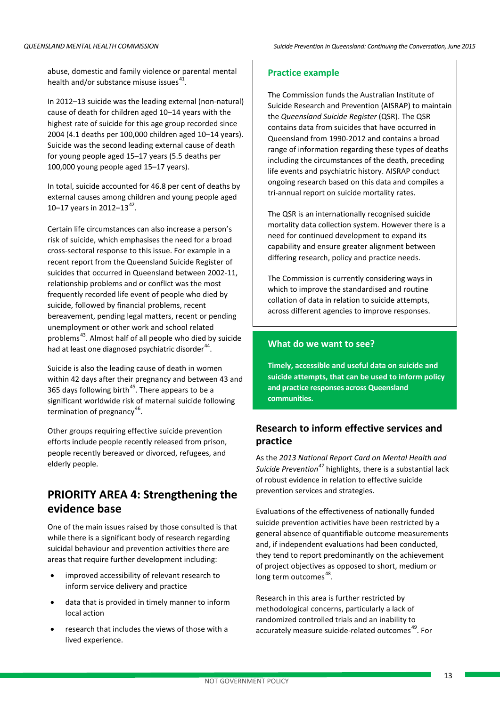abuse, domestic and family violence or parental mental health and/or substance misuse issues $41$ .

In 2012–13 suicide was the leading external (non-natural) cause of death for children aged 10–14 years with the highest rate of suicide for this age group recorded since 2004 (4.1 deaths per 100,000 children aged 10–14 years). Suicide was the second leading external cause of death for young people aged 15–17 years (5.5 deaths per 100,000 young people aged 15–17 years).

In total, suicide accounted for 46.8 per cent of deaths by external causes among children and young people aged 10–17 years in 2012–13 $^{42}$  $^{42}$  $^{42}$ .

Certain life circumstances can also increase a person's risk of suicide, which emphasises the need for a broad cross-sectoral response to this issue. For example in a recent report from the Queensland Suicide Register of suicides that occurred in Queensland between 2002-11, relationship problems and or conflict was the most frequently recorded life event of people who died by suicide, followed by financial problems, recent bereavement, pending legal matters, recent or pending unemployment or other work and school related problems<sup>[43](#page-14-39)</sup>. Almost half of all people who died by suicide had at least one diagnosed psychiatric disorder<sup>44</sup>.

Suicide is also the leading cause of death in women within 42 days after their pregnancy and between 43 and 365 days following birth<sup>[45](#page-14-41)</sup>. There appears to be a significant worldwide risk of maternal suicide following termination of pregnancy $46$ .

Other groups requiring effective suicide prevention efforts include people recently released from prison, people recently bereaved or divorced, refugees, and elderly people.

## **PRIORITY AREA 4: Strengthening the evidence base**

One of the main issues raised by those consulted is that while there is a significant body of research regarding suicidal behaviour and prevention activities there are areas that require further development including:

- improved accessibility of relevant research to inform service delivery and practice
- data that is provided in timely manner to inform local action
- research that includes the views of those with a lived experience.

#### **Practice example**

The Commission funds the Australian Institute of Suicide Research and Prevention (AISRAP) to maintain the *Queensland Suicide Register* (QSR). The QSR contains data from suicides that have occurred in Queensland from 1990-2012 and contains a broad range of information regarding these types of deaths including the circumstances of the death, preceding life events and psychiatric history. AISRAP conduct ongoing research based on this data and compiles a tri-annual report on suicide mortality rates.

The QSR is an internationally recognised suicide mortality data collection system. However there is a need for continued development to expand its capability and ensure greater alignment between differing research, policy and practice needs.

The Commission is currently considering ways in which to improve the standardised and routine collation of data in relation to suicide attempts, across different agencies to improve responses.

#### **What do we want to see?**

**Timely, accessible and useful data on suicide and suicide attempts, that can be used to inform policy and practice responses across Queensland communities.**

#### **Research to inform effective services and practice**

As the *2013 National Report Card on Mental Health and Suicide Prevention[47](#page-14-43)* highlights, there is a substantial lack of robust evidence in relation to effective suicide prevention services and strategies.

Evaluations of the effectiveness of nationally funded suicide prevention activities have been restricted by a general absence of quantifiable outcome measurements and, if independent evaluations had been conducted, they tend to report predominantly on the achievement of project objectives as opposed to short, medium or long term outcomes<sup>48</sup>.

Research in this area is further restricted by methodological concerns, particularly a lack of randomized controlled trials and an inability to accurately measure suicide-related outcomes<sup>49</sup>. For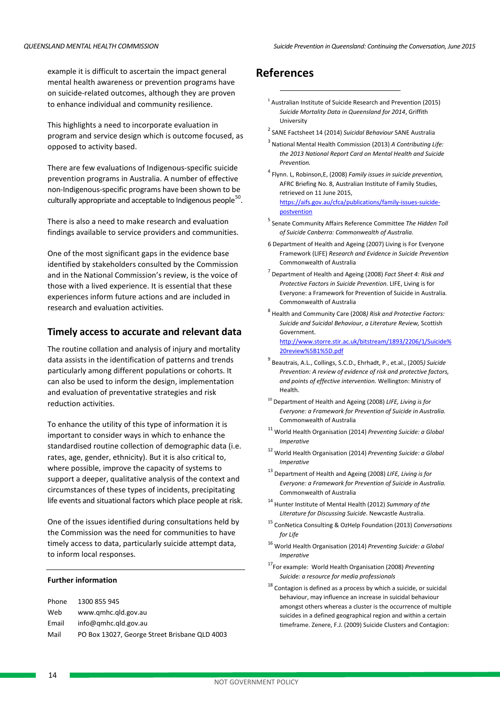example it is difficult to ascertain the impact general mental health awareness or prevention programs have on suicide-related outcomes, although they are proven to enhance individual and community resilience.

This highlights a need to incorporate evaluation in program and service design which is outcome focused, as opposed to activity based.

There are few evaluations of Indigenous-specific suicide prevention programs in Australia. A number of effective non-Indigenous-specific programs have been shown to be culturally appropriate and acceptable to Indigenous people $^{50}$ .

There is also a need to make research and evaluation findings available to service providers and communities.

One of the most significant gaps in the evidence base identified by stakeholders consulted by the Commission and in the National Commission's review, is the voice of those with a lived experience. It is essential that these experiences inform future actions and are included in research and evaluation activities.

#### **Timely access to accurate and relevant data**

The routine collation and analysis of injury and mortality data assists in the identification of patterns and trends particularly among different populations or cohorts. It can also be used to inform the design, implementation and evaluation of preventative strategies and risk reduction activities.

To enhance the utility of this type of information it is important to consider ways in which to enhance the standardised routine collection of demographic data (i.e. rates, age, gender, ethnicity). But it is also critical to, where possible, improve the capacity of systems to support a deeper, qualitative analysis of the context and circumstances of these types of incidents, precipitating life events and situational factors which place people at risk.

One of the issues identified during consultations held by the Commission was the need for communities to have timely access to data, particularly suicide attempt data, to inform local responses.

#### **Further information**

Phone 1300 855 945 Web www.qmhc.qld.gov.au Email info@qmhc.qld.gov.au Mail PO Box 13027, George Street Brisbane QLD 4003

## **References**

**.** 

- $<sup>1</sup>$  Australian Institute of Suicide Research and Prevention (2015)</sup> *Suicide Mortality Data in Queensland for 2014*, Griffith University
- <sup>2</sup> SANE Factsheet 14 (2014) *Suicidal Behaviour* SANE Australia
- <sup>3</sup> National Mental Health Commission (2013) *A Contributing Life: the 2013 National Report Card on Mental Health and Suicide Prevention.*
- <sup>4</sup> Flynn. L, Robinson,E, (2008) *Family issues in suicide prevention,* AFRC Briefing No. 8, Australian Institute of Family Studies, retrieved on 11 June 2015, [https://aifs.gov.au/cfca/publications/family-issues-suicide](https://aifs.gov.au/cfca/publications/family-issues-suicide-postvention)[postvention](https://aifs.gov.au/cfca/publications/family-issues-suicide-postvention)
- <sup>5</sup> Senate Community Affairs Reference Committee *The Hidden Toll of Suicide Canberra: Commonwealth of Australia*.
- 6 Department of Health and Ageing (2007) Living is For Everyone Framework (LIFE) *Research and Evidence in Suicide Prevention* Commonwealth of Australia
- <sup>7</sup> Department of Health and Ageing (2008) *Fact Sheet 4: Risk and Protective Factors in Suicide Prevention*. LIFE, Living is for Everyone: a Framework for Prevention of Suicide in Australia*.* Commonwealth of Australia
- <sup>8</sup> Health and Community Care (2008*) Risk and Protective Factors: Suicide and Suicidal Behaviour, a Literature Review,* Scottish Government. [http://www.storre.stir.ac.uk/bitstream/1893/2206/1/Suicide%](http://www.storre.stir.ac.uk/bitstream/1893/2206/1/Suicide%20review%5B1%5D.pdf) [20review%5B1%5D.pdf](http://www.storre.stir.ac.uk/bitstream/1893/2206/1/Suicide%20review%5B1%5D.pdf)
- <sup>9</sup> Beautrais, A.L., Collings, S.C.D., Ehrhadt, P., et.al., (2005*) Suicide Prevention: A review of evidence of risk and protective factors, and points of effective intervention.* Wellington: Ministry of Health.
- <sup>10</sup> Department of Health and Ageing (2008) *LIFE, Living is for Everyone: a Framework for Prevention of Suicide in Australia.* Commonwealth of Australia
- <sup>11</sup> World Health Organisation (2014) *Preventing Suicide: a Global Imperative*
- <sup>12</sup> World Health Organisation (2014) *Preventing Suicide: a Global Imperative*
- <sup>13</sup> Department of Health and Ageing (2008) *LIFE, Living is for Everyone: a Framework for Prevention of Suicide in Australia.* Commonwealth of Australia
- <sup>14</sup> Hunter Institute of Mental Health (2012) *Summary of the Literature for Discussing Suicide*. Newcastle Australia.
- <sup>15</sup> ConNetica Consulting & OzHelp Foundation (2013) *Conversations for Life*
- <sup>16</sup> World Health Organisation (2014) *Preventing Suicide: a Global Imperative*
- 17For example: World Health Organisation (2008) *Preventing Suicide: a resource for media professionals*
- $^{18}$  Contagion is defined as a process by which a suicide, or suicidal behaviour, may influence an increase in suicidal behaviour amongst others whereas a cluster is the occurrence of multiple suicides in a defined geographical region and within a certain timeframe. Zenere, F.J. (2009) Suicide Clusters and Contagion: